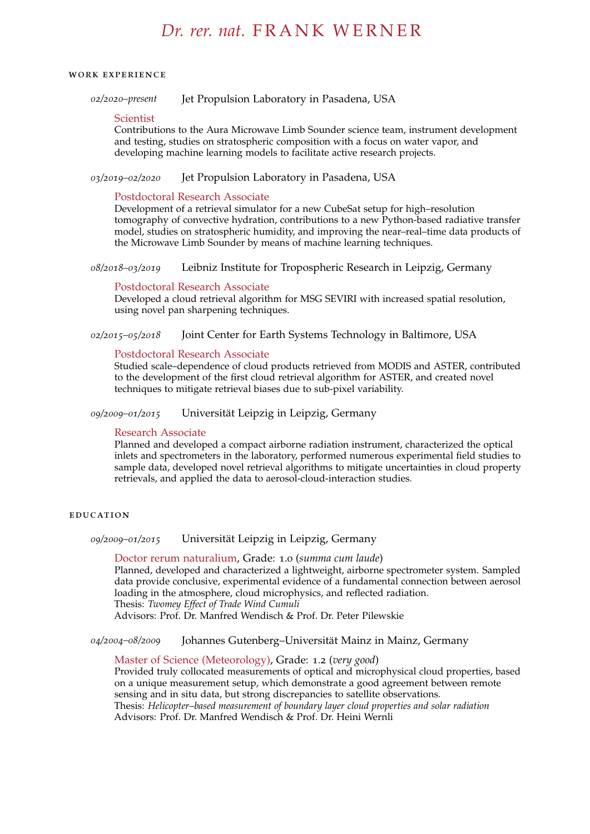# *Dr. rer. nat.* F R A N K W E R N E R

#### work experience

*02/2020–present* Jet Propulsion Laboratory in Pasadena, USA

#### Scientist

Contributions to the Aura Microwave Limb Sounder science team, instrument development and testing, studies on stratospheric composition with a focus on water vapor, and developing machine learning models to facilitate active research projects.

## *03/2019–02/2020* Jet Propulsion Laboratory in Pasadena, USA

#### Postdoctoral Research Associate

Development of a retrieval simulator for a new CubeSat setup for high–resolution tomography of convective hydration, contributions to a new Python-based radiative transfer model, studies on stratospheric humidity, and improving the near–real–time data products of the Microwave Limb Sounder by means of machine learning techniques.

*08/2018–03/2019* Leibniz Institute for Tropospheric Research in Leipzig, Germany

#### Postdoctoral Research Associate

Developed a cloud retrieval algorithm for MSG SEVIRI with increased spatial resolution, using novel pan sharpening techniques.

## *02/2015–05/2018* Joint Center for Earth Systems Technology in Baltimore, USA

## Postdoctoral Research Associate

Studied scale–dependence of cloud products retrieved from MODIS and ASTER, contributed to the development of the first cloud retrieval algorithm for ASTER, and created novel techniques to mitigate retrieval biases due to sub-pixel variability.

*09/2009–01/2015* Universität Leipzig in Leipzig, Germany

#### Research Associate

Planned and developed a compact airborne radiation instrument, characterized the optical inlets and spectrometers in the laboratory, performed numerous experimental field studies to sample data, developed novel retrieval algorithms to mitigate uncertainties in cloud property retrievals, and applied the data to aerosol-cloud-interaction studies.

#### **EDUCATION**

*09/2009–01/2015* Universität Leipzig in Leipzig, Germany

Doctor rerum naturalium, Grade: 1.0 (*summa cum laude*) Planned, developed and characterized a lightweight, airborne spectrometer system. Sampled data provide conclusive, experimental evidence of a fundamental connection between aerosol loading in the atmosphere, cloud microphysics, and reflected radiation. Thesis: *Twomey Effect of Trade Wind Cumuli*

Advisors: Prof. Dr. Manfred Wendisch & Prof. Dr. Peter Pilewskie

*04/2004–08/2009* Johannes Gutenberg–Universität Mainz in Mainz, Germany

Master of Science (Meteorology), Grade: 1.2 (*very good*) Provided truly collocated measurements of optical and microphysical cloud properties, based on a unique measurement setup, which demonstrate a good agreement between remote sensing and in situ data, but strong discrepancies to satellite observations. Thesis: *Helicopter–based measurement of boundary layer cloud properties and solar radiation* Advisors: Prof. Dr. Manfred Wendisch & Prof. Dr. Heini Wernli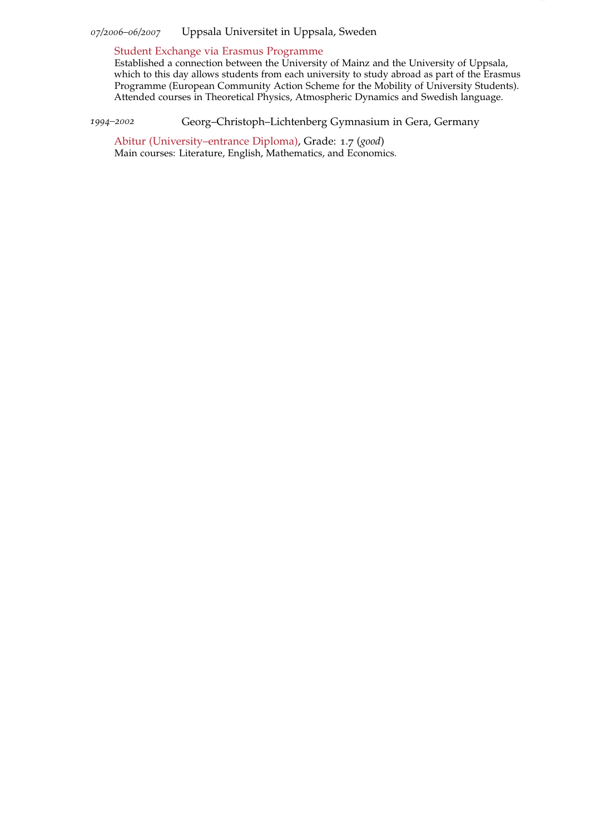*07/2006–06/2007* Uppsala Universitet in Uppsala, Sweden

Student Exchange via Erasmus Programme

Established a connection between the University of Mainz and the University of Uppsala, which to this day allows students from each university to study abroad as part of the Erasmus Programme (European Community Action Scheme for the Mobility of University Students). Attended courses in Theoretical Physics, Atmospheric Dynamics and Swedish language.

*1994–2002* Georg–Christoph–Lichtenberg Gymnasium in Gera, Germany

Abitur (University–entrance Diploma), Grade: 1.7 (*good*) Main courses: Literature, English, Mathematics, and Economics.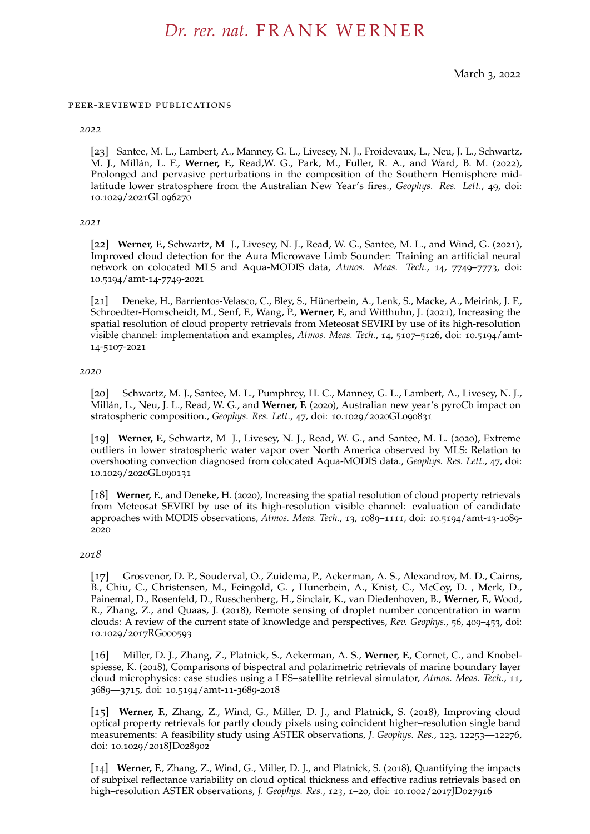## *Dr. rer. nat.* F R A N K W E R N E R

March 3, 2022

#### peer-reviewed publications

#### *2022*

[23] Santee, M. L., Lambert, A., Manney, G. L., Livesey, N. J., Froidevaux, L., Neu, J. L., Schwartz, M. J., Millán, L. F., **Werner, F.**, Read,W. G., Park, M., Fuller, R. A., and Ward, B. M. (2022), Prolonged and pervasive perturbations in the composition of the Southern Hemisphere midlatitude lower stratosphere from the Australian New Year's fires., *Geophys. Res. Lett.*, 49, doi: 10.1029/2021GL096270

#### *2021*

[22] **Werner, F.**, Schwartz, M J., Livesey, N. J., Read, W. G., Santee, M. L., and Wind, G. (2021), Improved cloud detection for the Aura Microwave Limb Sounder: Training an artificial neural network on colocated MLS and Aqua-MODIS data, *Atmos. Meas. Tech.*, 14, 7749–7773, doi: 10.5194/amt-14-7749-2021

[21] Deneke, H., Barrientos-Velasco, C., Bley, S., Hünerbein, A., Lenk, S., Macke, A., Meirink, J. F., Schroedter-Homscheidt, M., Senf, F., Wang, P., **Werner, F.**, and Witthuhn, J. (2021), Increasing the spatial resolution of cloud property retrievals from Meteosat SEVIRI by use of its high-resolution visible channel: implementation and examples, *Atmos. Meas. Tech.*, 14, 5107–5126, doi: 10.5194/amt-14-5107-2021

#### *2020*

[20] Schwartz, M. J., Santee, M. L., Pumphrey, H. C., Manney, G. L., Lambert, A., Livesey, N. J., Millán, L., Neu, J. L., Read, W. G., and **Werner, F.** (2020), Australian new year's pyroCb impact on stratospheric composition., *Geophys. Res. Lett.*, 47, doi: 10.1029/2020GL090831

[19] **Werner, F.**, Schwartz, M J., Livesey, N. J., Read, W. G., and Santee, M. L. (2020), Extreme outliers in lower stratospheric water vapor over North America observed by MLS: Relation to overshooting convection diagnosed from colocated Aqua-MODIS data., *Geophys. Res. Lett.*, 47, doi: 10.1029/2020GL090131

[18] **Werner, F.**, and Deneke, H. (2020), Increasing the spatial resolution of cloud property retrievals from Meteosat SEVIRI by use of its high-resolution visible channel: evaluation of candidate approaches with MODIS observations, *Atmos. Meas. Tech.*, 13, 1089–1111, doi: 10.5194/amt-13-1089- 2020

#### *2018*

[17] Grosvenor, D. P., Souderval, O., Zuidema, P., Ackerman, A. S., Alexandrov, M. D., Cairns, B., Chiu, C., Christensen, M., Feingold, G. , Hunerbein, A., Knist, C., McCoy, D. , Merk, D., Painemal, D., Rosenfeld, D., Russchenberg, H., Sinclair, K., van Diedenhoven, B., **Werner, F.**, Wood, R., Zhang, Z., and Quaas, J. (2018), Remote sensing of droplet number concentration in warm clouds: A review of the current state of knowledge and perspectives, *Rev. Geophys.*, 56, 409–453, doi: 10.1029/2017RG000593

[16] Miller, D. J., Zhang, Z., Platnick, S., Ackerman, A. S., **Werner, F.**, Cornet, C., and Knobelspiesse, K. (2018), Comparisons of bispectral and polarimetric retrievals of marine boundary layer cloud microphysics: case studies using a LES–satellite retrieval simulator, *Atmos. Meas. Tech.*, 11, 3689—3715, doi: 10.5194/amt-11-3689-2018

[15] **Werner, F.**, Zhang, Z., Wind, G., Miller, D. J., and Platnick, S. (2018), Improving cloud optical property retrievals for partly cloudy pixels using coincident higher–resolution single band measurements: A feasibility study using ASTER observations, *J. Geophys. Res.*, 123, 12253—12276, doi: 10.1029/2018JD028902

[14] **Werner, F.**, Zhang, Z., Wind, G., Miller, D. J., and Platnick, S. (2018), Quantifying the impacts of subpixel reflectance variability on cloud optical thickness and effective radius retrievals based on high–resolution ASTER observations, *J. Geophys. Res.*, *123*, 1–20, doi: 10.1002/2017JD027916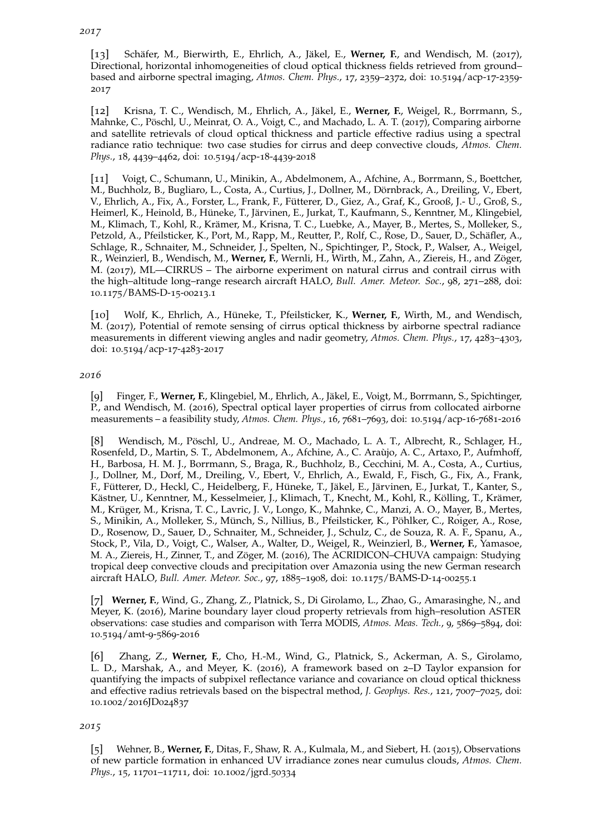[13] Schäfer, M., Bierwirth, E., Ehrlich, A., Jäkel, E., **Werner, F.**, and Wendisch, M. (2017), Directional, horizontal inhomogeneities of cloud optical thickness fields retrieved from ground– based and airborne spectral imaging, *Atmos. Chem. Phys.*, 17, 2359–2372, doi: 10.5194/acp-17-2359- 2017

[12] Krisna, T. C., Wendisch, M., Ehrlich, A., Jäkel, E., **Werner, F.**, Weigel, R., Borrmann, S., Mahnke, C., Pöschl, U., Meinrat, O. A., Voigt, C., and Machado, L. A. T. (2017), Comparing airborne and satellite retrievals of cloud optical thickness and particle effective radius using a spectral radiance ratio technique: two case studies for cirrus and deep convective clouds, *Atmos. Chem. Phys.*, 18, 4439–4462, doi: 10.5194/acp-18-4439-2018

[11] Voigt, C., Schumann, U., Minikin, A., Abdelmonem, A., Afchine, A., Borrmann, S., Boettcher, M., Buchholz, B., Bugliaro, L., Costa, A., Curtius, J., Dollner, M., Dörnbrack, A., Dreiling, V., Ebert, V., Ehrlich, A., Fix, A., Forster, L., Frank, F., Fütterer, D., Giez, A., Graf, K., Grooß, J.- U., Groß, S., Heimerl, K., Heinold, B., Hüneke, T., Järvinen, E., Jurkat, T., Kaufmann, S., Kenntner, M., Klingebiel, M., Klimach, T., Kohl, R., Krämer, M., Krisna, T. C., Luebke, A., Mayer, B., Mertes, S., Molleker, S., Petzold, A., Pfeilsticker, K., Port, M., Rapp, M., Reutter, P., Rolf, C., Rose, D., Sauer, D., Schäfler, A., Schlage, R., Schnaiter, M., Schneider, J., Spelten, N., Spichtinger, P., Stock, P., Walser, A., Weigel, R., Weinzierl, B., Wendisch, M., **Werner, F.**, Wernli, H., Wirth, M., Zahn, A., Ziereis, H., and Zöger, M. (2017), ML—CIRRUS – The airborne experiment on natural cirrus and contrail cirrus with the high–altitude long–range research aircraft HALO, *Bull. Amer. Meteor. Soc.*, 98, 271–288, doi: 10.1175/BAMS-D-15-00213.1

[10] Wolf, K., Ehrlich, A., Hüneke, T., Pfeilsticker, K., **Werner, F.**, Wirth, M., and Wendisch, M. (2017), Potential of remote sensing of cirrus optical thickness by airborne spectral radiance measurements in different viewing angles and nadir geometry, *Atmos. Chem. Phys.*, 17, 4283–4303, doi: 10.5194/acp-17-4283-2017

## *2016*

[9] Finger, F., **Werner, F.**, Klingebiel, M., Ehrlich, A., Jäkel, E., Voigt, M., Borrmann, S., Spichtinger, P., and Wendisch, M. (2016), Spectral optical layer properties of cirrus from collocated airborne measurements – a feasibility study, *Atmos. Chem. Phys.*, 16, 7681–7693, doi: 10.5194/acp-16-7681-2016

[8] Wendisch, M., Pöschl, U., Andreae, M. O., Machado, L. A. T., Albrecht, R., Schlager, H., Rosenfeld, D., Martin, S. T., Abdelmonem, A., Afchine, A., C. Araùjo, A. C., Artaxo, P., Aufmhoff, H., Barbosa, H. M. J., Borrmann, S., Braga, R., Buchholz, B., Cecchini, M. A., Costa, A., Curtius, J., Dollner, M., Dorf, M., Dreiling, V., Ebert, V., Ehrlich, A., Ewald, F., Fisch, G., Fix, A., Frank, F., Fütterer, D., Heckl, C., Heidelberg, F., Hüneke, T., Jäkel, E., Järvinen, E., Jurkat, T., Kanter, S., Kästner, U., Kenntner, M., Kesselmeier, J., Klimach, T., Knecht, M., Kohl, R., Kölling, T., Krämer, M., Krüger, M., Krisna, T. C., Lavric, J. V., Longo, K., Mahnke, C., Manzi, A. O., Mayer, B., Mertes, S., Minikin, A., Molleker, S., Münch, S., Nillius, B., Pfeilsticker, K., Pöhlker, C., Roiger, A., Rose, D., Rosenow, D., Sauer, D., Schnaiter, M., Schneider, J., Schulz, C., de Souza, R. A. F., Spanu, A., Stock, P., Vila, D., Voigt, C., Walser, A., Walter, D., Weigel, R., Weinzierl, B., **Werner, F.**, Yamasoe, M. A., Ziereis, H., Zinner, T., and Zöger, M. (2016), The ACRIDICON–CHUVA campaign: Studying tropical deep convective clouds and precipitation over Amazonia using the new German research aircraft HALO, *Bull. Amer. Meteor. Soc.*, 97, 1885–1908, doi: 10.1175/BAMS-D-14-00255.1

[7] **Werner, F.**, Wind, G., Zhang, Z., Platnick, S., Di Girolamo, L., Zhao, G., Amarasinghe, N., and Meyer, K. (2016), Marine boundary layer cloud property retrievals from high–resolution ASTER observations: case studies and comparison with Terra MODIS, *Atmos. Meas. Tech.*, 9, 5869–5894, doi: 10.5194/amt-9-5869-2016

[6] Zhang, Z., **Werner, F.**, Cho, H.-M., Wind, G., Platnick, S., Ackerman, A. S., Girolamo, L. D., Marshak, A., and Meyer, K. (2016), A framework based on 2–D Taylor expansion for quantifying the impacts of subpixel reflectance variance and covariance on cloud optical thickness and effective radius retrievals based on the bispectral method, *J. Geophys. Res.*, 121, 7007–7025, doi: 10.1002/2016JD024837

#### *2015*

[5] Wehner, B., **Werner, F.**, Ditas, F., Shaw, R. A., Kulmala, M., and Siebert, H. (2015), Observations of new particle formation in enhanced UV irradiance zones near cumulus clouds, *Atmos. Chem. Phys.*, 15, 11701–11711, doi: 10.1002/jgrd.50334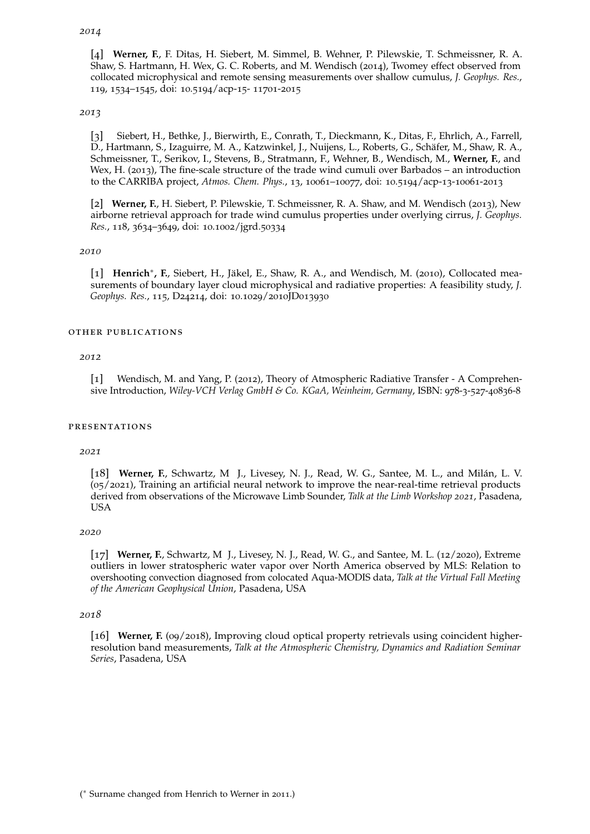## *2014*

[4] **Werner, F.**, F. Ditas, H. Siebert, M. Simmel, B. Wehner, P. Pilewskie, T. Schmeissner, R. A. Shaw, S. Hartmann, H. Wex, G. C. Roberts, and M. Wendisch (2014), Twomey effect observed from collocated microphysical and remote sensing measurements over shallow cumulus, *J. Geophys. Res.*, 119, 1534–1545, doi: 10.5194/acp-15- 11701-2015

#### *2013*

[3] Siebert, H., Bethke, J., Bierwirth, E., Conrath, T., Dieckmann, K., Ditas, F., Ehrlich, A., Farrell, D., Hartmann, S., Izaguirre, M. A., Katzwinkel, J., Nuijens, L., Roberts, G., Schäfer, M., Shaw, R. A., Schmeissner, T., Serikov, I., Stevens, B., Stratmann, F., Wehner, B., Wendisch, M., **Werner, F.**, and Wex, H. (2013), The fine-scale structure of the trade wind cumuli over Barbados – an introduction to the CARRIBA project, *Atmos. Chem. Phys.*, 13, 10061–10077, doi: 10.5194/acp-13-10061-2013

[2] **Werner, F.**, H. Siebert, P. Pilewskie, T. Schmeissner, R. A. Shaw, and M. Wendisch (2013), New airborne retrieval approach for trade wind cumulus properties under overlying cirrus, *J. Geophys. Res.*, 118, 3634–3649, doi: 10.1002/jgrd.50334

## *2010*

[1] **Henrich**<sup>∗</sup> **, F.**, Siebert, H., Jäkel, E., Shaw, R. A., and Wendisch, M. (2010), Collocated measurements of boundary layer cloud microphysical and radiative properties: A feasibility study, *J. Geophys. Res.*, 115, D24214, doi: 10.1029/2010JD013930

#### other publications

#### *2012*

[1] Wendisch, M. and Yang, P. (2012), Theory of Atmospheric Radiative Transfer - A Comprehensive Introduction, *Wiley-VCH Verlag GmbH & Co. KGaA, Weinheim, Germany*, ISBN: 978-3-527-40836-8

#### presentations

#### *2021*

[18] **Werner, F.**, Schwartz, M J., Livesey, N. J., Read, W. G., Santee, M. L., and Milán, L. V. (05/2021), Training an artificial neural network to improve the near-real-time retrieval products derived from observations of the Microwave Limb Sounder, *Talk at the Limb Workshop 2021*, Pasadena, USA

#### *2020*

[17] **Werner, F.**, Schwartz, M J., Livesey, N. J., Read, W. G., and Santee, M. L. (12/2020), Extreme outliers in lower stratospheric water vapor over North America observed by MLS: Relation to overshooting convection diagnosed from colocated Aqua-MODIS data, *Talk at the Virtual Fall Meeting of the American Geophysical Union*, Pasadena, USA

#### *2018*

[16] **Werner, F.** (09/2018), Improving cloud optical property retrievals using coincident higherresolution band measurements, *Talk at the Atmospheric Chemistry, Dynamics and Radiation Seminar Series*, Pasadena, USA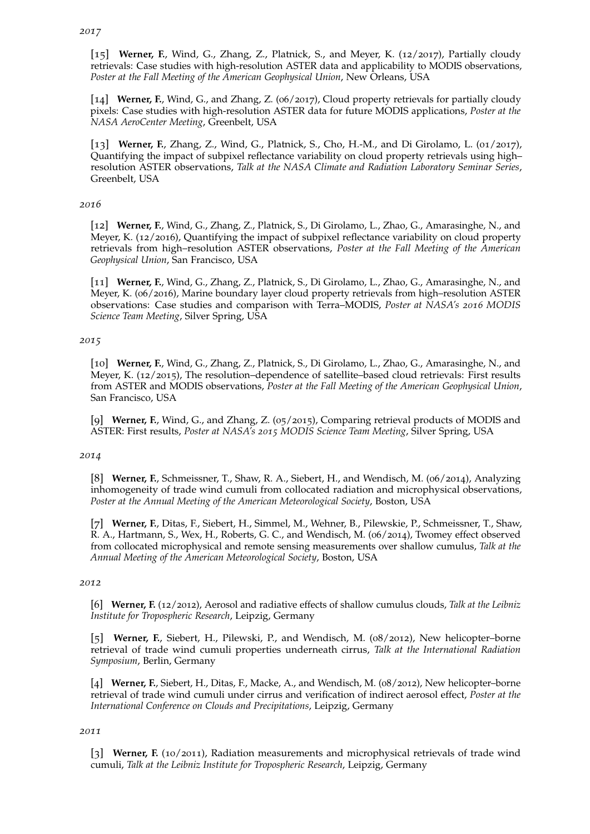[15] **Werner, F.**, Wind, G., Zhang, Z., Platnick, S., and Meyer, K. (12/2017), Partially cloudy retrievals: Case studies with high-resolution ASTER data and applicability to MODIS observations, *Poster at the Fall Meeting of the American Geophysical Union*, New Orleans, USA

[14] **Werner, F.**, Wind, G., and Zhang, Z. (06/2017), Cloud property retrievals for partially cloudy pixels: Case studies with high-resolution ASTER data for future MODIS applications, *Poster at the NASA AeroCenter Meeting*, Greenbelt, USA

[13] **Werner, F.**, Zhang, Z., Wind, G., Platnick, S., Cho, H.-M., and Di Girolamo, L. (01/2017), Quantifying the impact of subpixel reflectance variability on cloud property retrievals using high– resolution ASTER observations, *Talk at the NASA Climate and Radiation Laboratory Seminar Series*, Greenbelt, USA

## *2016*

[12] **Werner, F.**, Wind, G., Zhang, Z., Platnick, S., Di Girolamo, L., Zhao, G., Amarasinghe, N., and Meyer, K. (12/2016), Quantifying the impact of subpixel reflectance variability on cloud property retrievals from high–resolution ASTER observations, *Poster at the Fall Meeting of the American Geophysical Union*, San Francisco, USA

[11] **Werner, F.**, Wind, G., Zhang, Z., Platnick, S., Di Girolamo, L., Zhao, G., Amarasinghe, N., and Meyer, K. (06/2016), Marine boundary layer cloud property retrievals from high–resolution ASTER observations: Case studies and comparison with Terra–MODIS, *Poster at NASA's 2016 MODIS Science Team Meeting*, Silver Spring, USA

## *2015*

[10] **Werner, F.**, Wind, G., Zhang, Z., Platnick, S., Di Girolamo, L., Zhao, G., Amarasinghe, N., and Meyer, K. (12/2015), The resolution–dependence of satellite–based cloud retrievals: First results from ASTER and MODIS observations, *Poster at the Fall Meeting of the American Geophysical Union*, San Francisco, USA

[9] **Werner, F.**, Wind, G., and Zhang, Z. (05/2015), Comparing retrieval products of MODIS and ASTER: First results, *Poster at NASA's 2015 MODIS Science Team Meeting*, Silver Spring, USA

#### *2014*

[8] **Werner, F.**, Schmeissner, T., Shaw, R. A., Siebert, H., and Wendisch, M. (06/2014), Analyzing inhomogeneity of trade wind cumuli from collocated radiation and microphysical observations, *Poster at the Annual Meeting of the American Meteorological Society*, Boston, USA

[7] **Werner, F.**, Ditas, F., Siebert, H., Simmel, M., Wehner, B., Pilewskie, P., Schmeissner, T., Shaw, R. A., Hartmann, S., Wex, H., Roberts, G. C., and Wendisch, M. (06/2014), Twomey effect observed from collocated microphysical and remote sensing measurements over shallow cumulus, *Talk at the Annual Meeting of the American Meteorological Society*, Boston, USA

#### *2012*

[6] **Werner, F.** (12/2012), Aerosol and radiative effects of shallow cumulus clouds, *Talk at the Leibniz Institute for Tropospheric Research*, Leipzig, Germany

[5] **Werner, F.**, Siebert, H., Pilewski, P., and Wendisch, M. (08/2012), New helicopter–borne retrieval of trade wind cumuli properties underneath cirrus, *Talk at the International Radiation Symposium*, Berlin, Germany

[4] **Werner, F.**, Siebert, H., Ditas, F., Macke, A., and Wendisch, M. (08/2012), New helicopter–borne retrieval of trade wind cumuli under cirrus and verification of indirect aerosol effect, *Poster at the International Conference on Clouds and Precipitations*, Leipzig, Germany

#### *2011*

[3] **Werner, F.** (10/2011), Radiation measurements and microphysical retrievals of trade wind cumuli, *Talk at the Leibniz Institute for Tropospheric Research*, Leipzig, Germany